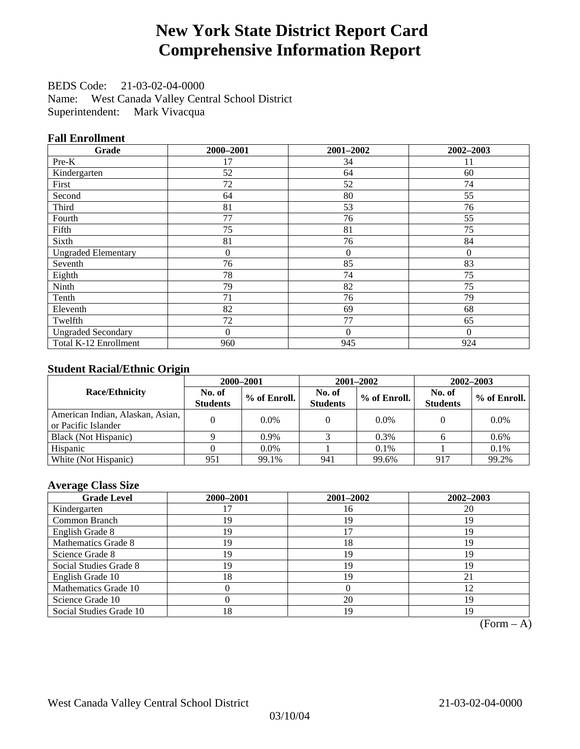## **New York State District Report Card Comprehensive Information Report**

BEDS Code: 21-03-02-04-0000 Name: West Canada Valley Central School District Superintendent: Mark Vivacqua

### **Fall Enrollment**

| Grade                      | 2000-2001        | 2001-2002        | 2002-2003 |
|----------------------------|------------------|------------------|-----------|
| Pre-K                      | 17               | 34               | 11        |
| Kindergarten               | 52               | 64               | 60        |
| First                      | 72               | 52               | 74        |
| Second                     | 64               | 80               | 55        |
| Third                      | 81               | 53               | 76        |
| Fourth                     | 77               | 76               | 55        |
| Fifth                      | 75               | 81               | 75        |
| Sixth                      | 81               | 76               | 84        |
| <b>Ungraded Elementary</b> | $\boldsymbol{0}$ | $\boldsymbol{0}$ | $\theta$  |
| Seventh                    | 76               | 85               | 83        |
| Eighth                     | 78               | 74               | 75        |
| Ninth                      | 79               | 82               | 75        |
| Tenth                      | 71               | 76               | 79        |
| Eleventh                   | 82               | 69               | 68        |
| Twelfth                    | 72               | 77               | 65        |
| <b>Ungraded Secondary</b>  | $\Omega$         | $\Omega$         | $\Omega$  |
| Total K-12 Enrollment      | 960              | 945              | 924       |

### **Student Racial/Ethnic Origin**

|                                                         |                           | 2001-2002<br>2002-2003<br>2000-2001 |                           |              |                           |                |
|---------------------------------------------------------|---------------------------|-------------------------------------|---------------------------|--------------|---------------------------|----------------|
| <b>Race/Ethnicity</b>                                   | No. of<br><b>Students</b> | % of Enroll.                        | No. of<br><b>Students</b> | % of Enroll. | No. of<br><b>Students</b> | $%$ of Enroll. |
| American Indian, Alaskan, Asian,<br>or Pacific Islander |                           | $0.0\%$                             |                           | $0.0\%$      |                           | $0.0\%$        |
| Black (Not Hispanic)                                    |                           | 0.9%                                |                           | 0.3%         |                           | $0.6\%$        |
| Hispanic                                                |                           | $0.0\%$                             |                           | 0.1%         |                           | 0.1%           |
| White (Not Hispanic)                                    | 951                       | 99.1%                               | 941                       | 99.6%        | 917                       | 99.2%          |

### **Average Class Size**

| <b>Grade Level</b>      | 2000-2001 | 2001-2002 | 2002-2003 |
|-------------------------|-----------|-----------|-----------|
| Kindergarten            |           | 16        | 20        |
| Common Branch           | 19        | 19        | 19        |
| English Grade 8         | 19        |           | 19        |
| Mathematics Grade 8     | 19        | 18        | 19        |
| Science Grade 8         | 19        | 19        | 19        |
| Social Studies Grade 8  | 19        | 19        | 19        |
| English Grade 10        | 18        | 19        | 21        |
| Mathematics Grade 10    |           |           | 12        |
| Science Grade 10        |           | 20        | 19        |
| Social Studies Grade 10 | 18        | 19        | 19        |

 $(Form - A)$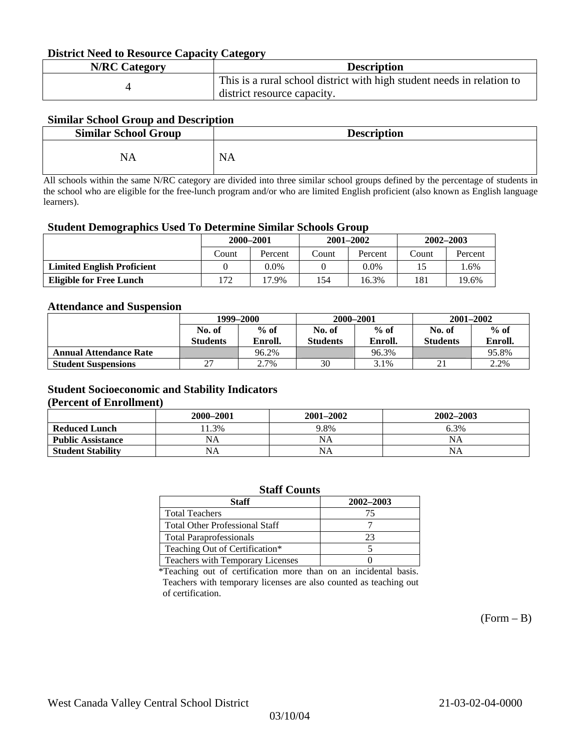#### **District Need to Resource Capacity Category**

| <b>N/RC Category</b> | <b>Description</b>                                                     |
|----------------------|------------------------------------------------------------------------|
|                      | This is a rural school district with high student needs in relation to |
|                      | district resource capacity.                                            |

### **Similar School Group and Description**

| <b>Similar School Group</b> | <b>Description</b> |
|-----------------------------|--------------------|
| NA                          | <b>NA</b>          |

All schools within the same N/RC category are divided into three similar school groups defined by the percentage of students in the school who are eligible for the free-lunch program and/or who are limited English proficient (also known as English language learners).

#### **Student Demographics Used To Determine Similar Schools Group**

| 0                                 |           |         |               |         |               |         |
|-----------------------------------|-----------|---------|---------------|---------|---------------|---------|
|                                   | 2000-2001 |         | $2001 - 2002$ |         | $2002 - 2003$ |         |
|                                   | Count     | Percent | Count         | Percent | Count         | Percent |
| <b>Limited English Proficient</b> |           | 0.0%    |               | $0.0\%$ |               | 1.6%    |
| Eligible for Free Lunch           | 72        | 17.9%   | 154           | 16.3%   | 181           | 19.6%   |

#### **Attendance and Suspension**

|                               | 1999–2000       |         |                 | 2000-2001 | $2001 - 2002$   |         |
|-------------------------------|-----------------|---------|-----------------|-----------|-----------------|---------|
|                               | No. of          | $%$ of  | No. of          | $%$ of    | No. of          | $\%$ of |
|                               | <b>Students</b> | Enroll. | <b>Students</b> | Enroll.   | <b>Students</b> | Enroll. |
| <b>Annual Attendance Rate</b> |                 | 96.2%   |                 | 96.3%     |                 | 95.8%   |
| <b>Student Suspensions</b>    | $\sim$          | 2.7%    | 30              | 3.1%      |                 | 2.2%    |

### **Student Socioeconomic and Stability Indicators**

#### **(Percent of Enrollment)**

|                          | 2000-2001 | $2001 - 2002$ | 2002-2003 |
|--------------------------|-----------|---------------|-----------|
| <b>Reduced Lunch</b>     | 1.3%      | 9.8%          | 6.3%      |
| <b>Public Assistance</b> | NA        | NA            | NA        |
| <b>Student Stability</b> | NA        | NA            | NA        |

| <b>Staff Counts</b>                   |           |  |  |  |  |
|---------------------------------------|-----------|--|--|--|--|
| <b>Staff</b>                          | 2002-2003 |  |  |  |  |
| <b>Total Teachers</b>                 | 75        |  |  |  |  |
| <b>Total Other Professional Staff</b> |           |  |  |  |  |
| <b>Total Paraprofessionals</b>        | 23        |  |  |  |  |
| Teaching Out of Certification*        |           |  |  |  |  |
| Teachers with Temporary Licenses      |           |  |  |  |  |

\*Teaching out of certification more than on an incidental basis. Teachers with temporary licenses are also counted as teaching out of certification.

 $(Form - B)$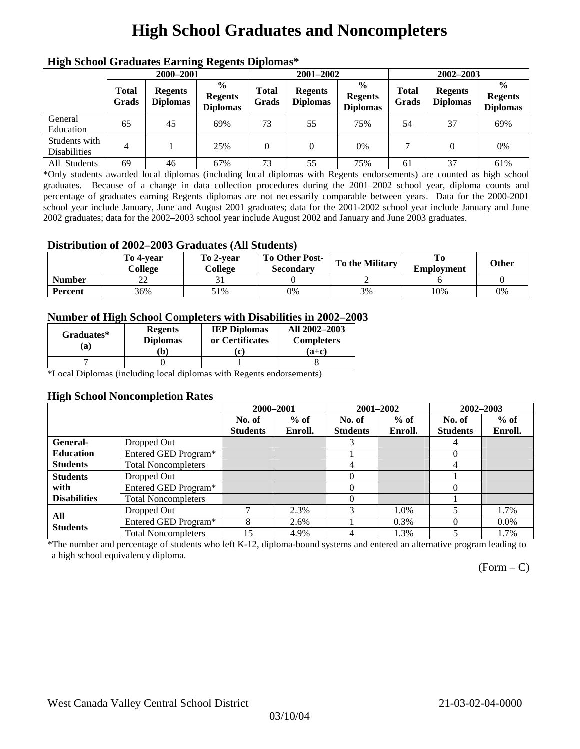# **High School Graduates and Noncompleters**

| ніді эспол этайнакі патінід кеденія вірюшая |                       |                                   |                                                    |                       |                                   |                                                    |                       |                                   |                                                    |  |
|---------------------------------------------|-----------------------|-----------------------------------|----------------------------------------------------|-----------------------|-----------------------------------|----------------------------------------------------|-----------------------|-----------------------------------|----------------------------------------------------|--|
|                                             | 2000-2001             |                                   |                                                    |                       | 2001-2002                         |                                                    |                       | 2002-2003                         |                                                    |  |
|                                             | <b>Total</b><br>Grads | <b>Regents</b><br><b>Diplomas</b> | $\frac{0}{0}$<br><b>Regents</b><br><b>Diplomas</b> | <b>Total</b><br>Grads | <b>Regents</b><br><b>Diplomas</b> | $\frac{6}{6}$<br><b>Regents</b><br><b>Diplomas</b> | <b>Total</b><br>Grads | <b>Regents</b><br><b>Diplomas</b> | $\frac{0}{0}$<br><b>Regents</b><br><b>Diplomas</b> |  |
| General<br>Education                        | 65                    | 45                                | 69%                                                | 73                    | 55                                | 75%                                                | 54                    | 37                                | 69%                                                |  |
| Students with<br><b>Disabilities</b>        | 4                     |                                   | 25%                                                | 0                     | $\theta$                          | 0%                                                 |                       |                                   | 0%                                                 |  |
| All Students                                | 69                    | 46                                | 67%                                                | 73                    | 55                                | 75%                                                | 61                    | 37                                | 61%                                                |  |

### **High School Graduates Earning Regents Diplomas\***

\*Only students awarded local diplomas (including local diplomas with Regents endorsements) are counted as high school graduates. Because of a change in data collection procedures during the 2001–2002 school year, diploma counts and percentage of graduates earning Regents diplomas are not necessarily comparable between years. Data for the 2000-2001 school year include January, June and August 2001 graduates; data for the 2001-2002 school year include January and June 2002 graduates; data for the 2002–2003 school year include August 2002 and January and June 2003 graduates.

### **Distribution of 2002–2003 Graduates (All Students)**

|                | To 4-vear<br>College | To 2-vear<br>College | To Other Post-<br><b>Secondary</b> | To the Military | <b>Employment</b> | Other |
|----------------|----------------------|----------------------|------------------------------------|-----------------|-------------------|-------|
| <b>Number</b>  | $\cap$<br>∠∠         |                      |                                    |                 |                   |       |
| <b>Percent</b> | 36%                  | 51%                  | 0%                                 | 3%              | 10%               | 0%    |

#### **Number of High School Completers with Disabilities in 2002–2003**

| Graduates*<br>(a) | <b>Regents</b><br><b>Diplomas</b><br>b) | <b>IEP Diplomas</b><br>or Certificates<br>c. | All 2002-2003<br><b>Completers</b><br>$(a+c)$ |
|-------------------|-----------------------------------------|----------------------------------------------|-----------------------------------------------|
|                   |                                         |                                              |                                               |

\*Local Diplomas (including local diplomas with Regents endorsements)

#### **High School Noncompletion Rates**

| . .                 |                            | 2000-2001       |         | 2001-2002       |         | 2002-2003       |         |
|---------------------|----------------------------|-----------------|---------|-----------------|---------|-----------------|---------|
|                     |                            | No. of          | $%$ of  | No. of          | $%$ of  | No. of          | $%$ of  |
|                     |                            | <b>Students</b> | Enroll. | <b>Students</b> | Enroll. | <b>Students</b> | Enroll. |
| <b>General-</b>     | Dropped Out                |                 |         |                 |         | 4               |         |
| <b>Education</b>    | Entered GED Program*       |                 |         |                 |         | 0               |         |
| <b>Students</b>     | <b>Total Noncompleters</b> |                 |         | 4               |         | 4               |         |
| <b>Students</b>     | Dropped Out                |                 |         | 0               |         |                 |         |
| with                | Entered GED Program*       |                 |         | $\theta$        |         | $\Omega$        |         |
| <b>Disabilities</b> | <b>Total Noncompleters</b> |                 |         | 0               |         |                 |         |
| All                 | Dropped Out                | ⇁               | 2.3%    | 3               | 1.0%    |                 | 1.7%    |
| <b>Students</b>     | Entered GED Program*       | 8               | 2.6%    |                 | $0.3\%$ | 0               | $0.0\%$ |
|                     | <b>Total Noncompleters</b> | 15              | 4.9%    | 4               | 1.3%    |                 | 1.7%    |

\*The number and percentage of students who left K-12, diploma-bound systems and entered an alternative program leading to a high school equivalency diploma.

 $(Form - C)$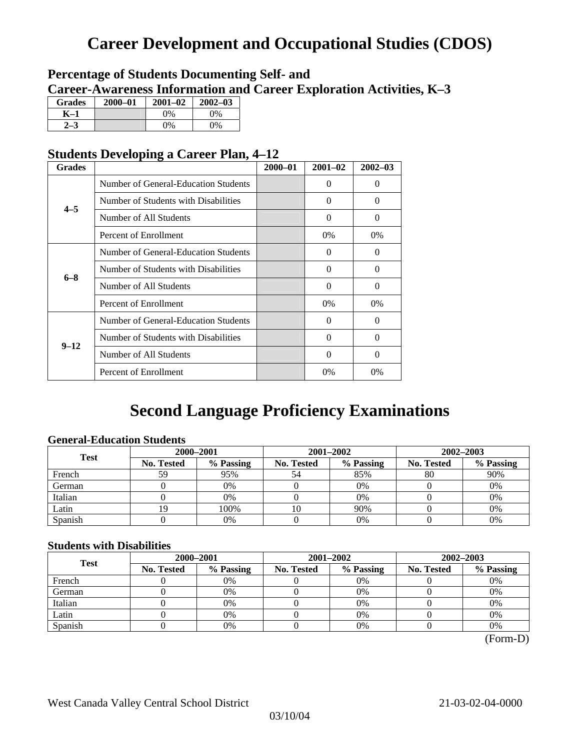## **Career Development and Occupational Studies (CDOS)**

### **Percentage of Students Documenting Self- and Career-Awareness Information and Career Exploration Activities, K–3**

| <b>Grades</b> | 2000-01 | $2001 - 02$ | $2002 - 03$ |
|---------------|---------|-------------|-------------|
| K–1           |         | $0\%$       | $0\%$       |
|               |         | $0\%$       | 9%          |

### **Students Developing a Career Plan, 4–12**

| <b>Grades</b> |                                      | $2000 - 01$ | $2001 - 02$ | $2002 - 03$ |
|---------------|--------------------------------------|-------------|-------------|-------------|
|               | Number of General-Education Students |             | 0           | $\theta$    |
| $4 - 5$       | Number of Students with Disabilities |             | $\theta$    | $\Omega$    |
|               | Number of All Students               |             | $\Omega$    | $\Omega$    |
|               | Percent of Enrollment                |             | 0%          | 0%          |
|               | Number of General-Education Students |             | 0           | 0           |
|               | Number of Students with Disabilities |             | $\Omega$    | $\Omega$    |
| $6 - 8$       | Number of All Students               |             | $\Omega$    | $\Omega$    |
|               | Percent of Enrollment                |             | 0%          | 0%          |
|               | Number of General-Education Students |             | 0           | $\Omega$    |
| $9 - 12$      | Number of Students with Disabilities |             | 0           | $\Omega$    |
|               | Number of All Students               |             | $\theta$    | $\Omega$    |
|               | Percent of Enrollment                |             | 0%          | 0%          |

### **Second Language Proficiency Examinations**

### **General-Education Students**

| <b>Test</b> | 2000-2001         |           |            | 2001-2002 | 2002-2003         |           |  |
|-------------|-------------------|-----------|------------|-----------|-------------------|-----------|--|
|             | <b>No. Tested</b> | % Passing | No. Tested | % Passing | <b>No. Tested</b> | % Passing |  |
| French      | 59                | 95%       | 54         | 85%       | 80                | 90%       |  |
| German      |                   | 0%        |            | $0\%$     |                   | 0%        |  |
| Italian     |                   | 0%        |            | 0%        |                   | 0%        |  |
| Latin       |                   | 100%      | 10         | 90%       |                   | 0%        |  |
| Spanish     |                   | 0%        |            | 0%        |                   | 0%        |  |

### **Students with Disabilities**

| <b>Test</b> | 2000-2001         |           |            | 2001-2002 | 2002-2003         |           |  |
|-------------|-------------------|-----------|------------|-----------|-------------------|-----------|--|
|             | <b>No. Tested</b> | % Passing | No. Tested | % Passing | <b>No. Tested</b> | % Passing |  |
| French      |                   | 0%        |            | $0\%$     |                   | 0%        |  |
| German      |                   | 0%        |            | $0\%$     |                   | 0%        |  |
| Italian     |                   | 0%        |            | 0%        |                   | 0%        |  |
| Latin       |                   | 0%        |            | $0\%$     |                   | 0%        |  |
| Spanish     |                   | 0%        |            | 0%        |                   | 0%        |  |

(Form-D)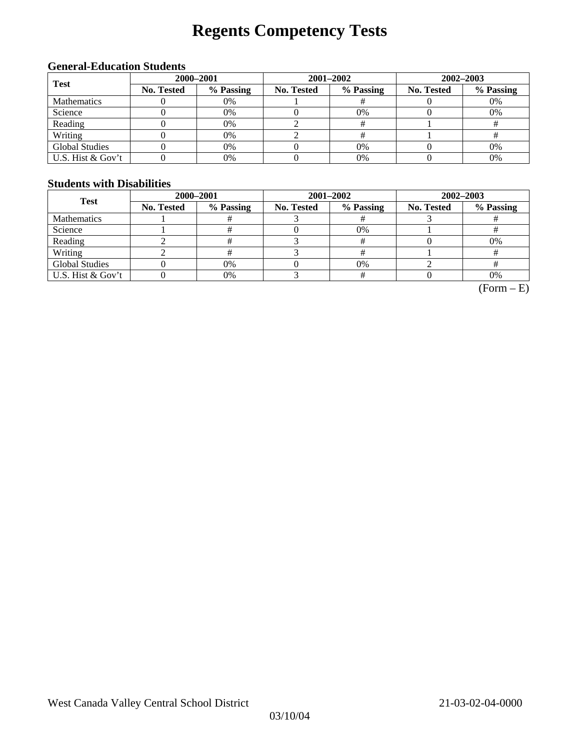# **Regents Competency Tests**

### **General-Education Students**

| <b>Test</b>           | 2000-2001         |           |            | 2001-2002 | 2002-2003  |           |  |
|-----------------------|-------------------|-----------|------------|-----------|------------|-----------|--|
|                       | <b>No. Tested</b> | % Passing | No. Tested | % Passing | No. Tested | % Passing |  |
| <b>Mathematics</b>    |                   | 0%        |            |           |            | 0%        |  |
| Science               |                   | 0%        |            | 0%        |            | 0%        |  |
| Reading               |                   | 0%        |            |           |            |           |  |
| Writing               |                   | 0%        |            |           |            |           |  |
| <b>Global Studies</b> |                   | 0%        |            | 0%        |            | 0%        |  |
| U.S. Hist & Gov't     |                   | 0%        |            | 0%        |            | 0%        |  |

### **Students with Disabilities**

| <b>Test</b>           | 2000-2001  |           |            | 2001-2002 | 2002-2003         |           |  |
|-----------------------|------------|-----------|------------|-----------|-------------------|-----------|--|
|                       | No. Tested | % Passing | No. Tested | % Passing | <b>No. Tested</b> | % Passing |  |
| <b>Mathematics</b>    |            |           |            |           |                   |           |  |
| Science               |            |           |            | 0%        |                   |           |  |
| Reading               |            |           |            |           |                   | 0%        |  |
| Writing               |            |           |            |           |                   |           |  |
| <b>Global Studies</b> |            | 0%        |            | 0%        |                   |           |  |
| U.S. Hist & Gov't     |            | 0%        |            |           |                   | 0%        |  |

 $(Form - E)$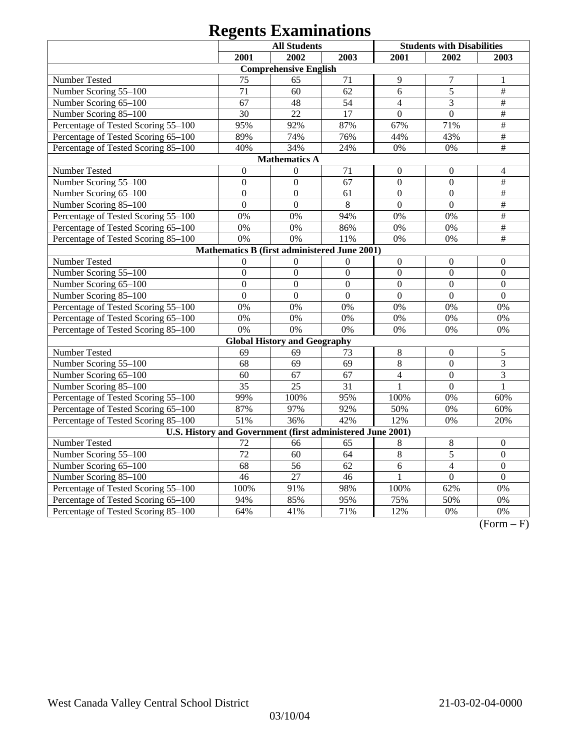| <b>All Students</b><br><b>Students with Disabilities</b>   |                                              |                                     |                 |                  |                  |                           |
|------------------------------------------------------------|----------------------------------------------|-------------------------------------|-----------------|------------------|------------------|---------------------------|
|                                                            | 2001                                         | 2002                                | 2003            | 2001             | 2002             | 2003                      |
|                                                            |                                              | <b>Comprehensive English</b>        |                 |                  |                  |                           |
| Number Tested                                              | 75                                           | 65                                  | 71              | 9                | $\tau$           | 1                         |
| Number Scoring 55-100                                      | 71                                           | 60                                  | 62              | 6                | $\overline{5}$   | $\overline{\overline{t}}$ |
| Number Scoring 65-100                                      | 67                                           | 48                                  | 54              | $\overline{4}$   | 3                | $\frac{1}{2}$             |
| Number Scoring 85-100                                      | $\overline{30}$                              | $\overline{22}$                     | $\overline{17}$ | $\overline{0}$   | $\overline{0}$   | $\overline{\#}$           |
| Percentage of Tested Scoring 55-100                        | 95%                                          | 92%                                 | 87%             | 67%              | 71%              | $\overline{\#}$           |
| Percentage of Tested Scoring 65-100                        | 89%                                          | 74%                                 | 76%             | 44%              | 43%              | $\#$                      |
| Percentage of Tested Scoring 85-100                        | 40%                                          | 34%                                 | 24%             | 0%               | 0%               | $\#$                      |
|                                                            |                                              | <b>Mathematics A</b>                |                 |                  |                  |                           |
| Number Tested                                              | $\boldsymbol{0}$                             | $\mathbf{0}$                        | 71              | $\boldsymbol{0}$ | $\boldsymbol{0}$ | $\overline{\mathcal{A}}$  |
| Number Scoring 55-100                                      | $\boldsymbol{0}$                             | $\boldsymbol{0}$                    | 67              | $\boldsymbol{0}$ | $\boldsymbol{0}$ | $\overline{\overline{t}}$ |
| Number Scoring 65-100                                      | $\overline{0}$                               | $\overline{0}$                      | 61              | $\overline{0}$   | $\mathbf{0}$     | $\#$                      |
| Number Scoring 85-100                                      | $\overline{0}$                               | $\mathbf{0}$                        | 8               | $\overline{0}$   | $\overline{0}$   | $\overline{\#}$           |
| Percentage of Tested Scoring 55-100                        | 0%                                           | 0%                                  | 94%             | 0%               | 0%               | $\overline{\#}$           |
| Percentage of Tested Scoring 65-100                        | 0%                                           | 0%                                  | 86%             | 0%               | 0%               | $\#$                      |
| Percentage of Tested Scoring 85-100                        | 0%                                           | 0%                                  | 11%             | 0%               | 0%               | $\#$                      |
|                                                            | Mathematics B (first administered June 2001) |                                     |                 |                  |                  |                           |
| Number Tested                                              | $\boldsymbol{0}$                             | $\overline{0}$                      | $\mathbf{0}$    | $\mathbf{0}$     | $\boldsymbol{0}$ | $\boldsymbol{0}$          |
| Number Scoring 55-100                                      | $\overline{0}$                               | $\overline{0}$                      | $\overline{0}$  | $\overline{0}$   | $\overline{0}$   | $\overline{0}$            |
| Number Scoring 65-100                                      | $\overline{0}$                               | $\mathbf{0}$                        | $\overline{0}$  | $\overline{0}$   | $\overline{0}$   | $\mathbf{0}$              |
| Number Scoring 85-100                                      | $\overline{0}$                               | $\mathbf{0}$                        | $\overline{0}$  | $\overline{0}$   | $\mathbf{0}$     | $\mathbf{0}$              |
| Percentage of Tested Scoring 55-100                        | 0%                                           | 0%                                  | 0%              | 0%               | 0%               | 0%                        |
| Percentage of Tested Scoring 65-100                        | 0%                                           | 0%                                  | 0%              | 0%               | 0%               | 0%                        |
| Percentage of Tested Scoring 85-100                        | 0%                                           | 0%                                  | 0%              | 0%               | 0%               | 0%                        |
|                                                            |                                              | <b>Global History and Geography</b> |                 |                  |                  |                           |
| Number Tested                                              | 69                                           | 69                                  | 73              | $\,8\,$          | $\mathbf{0}$     | $\sqrt{5}$                |
| Number Scoring 55-100                                      | 68                                           | 69                                  | 69              | 8                | $\overline{0}$   | $\overline{3}$            |
| Number Scoring 65-100                                      | 60                                           | 67                                  | 67              | $\overline{4}$   | $\overline{0}$   | $\overline{3}$            |
| Number Scoring 85-100                                      | 35                                           | 25                                  | 31              | 1                | $\overline{0}$   | 1                         |
| Percentage of Tested Scoring 55-100                        | 99%                                          | 100%                                | 95%             | 100%             | 0%               | 60%                       |
| Percentage of Tested Scoring 65-100                        | 87%                                          | 97%                                 | 92%             | 50%              | 0%               | 60%                       |
| Percentage of Tested Scoring 85-100                        | 51%                                          | 36%                                 | 42%             | 12%              | 0%               | 20%                       |
| U.S. History and Government (first administered June 2001) |                                              |                                     |                 |                  |                  |                           |
| Number Tested                                              | 72                                           | 66                                  | 65              | 8                | 8                | $\mathbf{0}$              |
| Number Scoring 55-100                                      | $\overline{72}$                              | 60                                  | $\overline{64}$ | $\overline{8}$   | $\overline{5}$   | $\overline{0}$            |
| Number Scoring 65-100                                      | $\overline{68}$                              | 56                                  | 62              | 6                | $\overline{4}$   | $\overline{0}$            |
| Number Scoring 85-100                                      | 46                                           | 27                                  | 46              | 1                | $\overline{0}$   | $\overline{0}$            |
| Percentage of Tested Scoring 55-100                        | 100%                                         | 91%                                 | 98%             | 100%             | 62%              | 0%                        |
| Percentage of Tested Scoring 65-100                        | 94%                                          | 85%                                 | 95%             | 75%              | 50%              | $0\%$                     |
| Percentage of Tested Scoring 85-100                        | 64%                                          | 41%                                 | 71%             | 12%              | 0%               | 0%                        |

 $(Form - F)$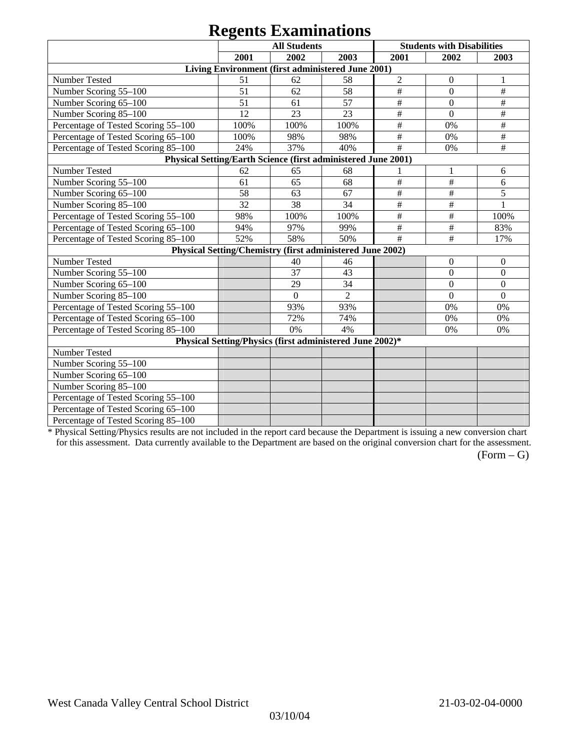|                                                               |      | <b>All Students</b>                                       |                |                           | <b>Students with Disabilities</b> |                  |  |  |
|---------------------------------------------------------------|------|-----------------------------------------------------------|----------------|---------------------------|-----------------------------------|------------------|--|--|
|                                                               | 2001 | 2002                                                      | 2003           | 2001                      | 2002                              | 2003             |  |  |
|                                                               |      | Living Environment (first administered June 2001)         |                |                           |                                   |                  |  |  |
| Number Tested                                                 | 51   | 62                                                        | 58             | $\overline{2}$            | $\mathbf{0}$                      | 1                |  |  |
| Number Scoring 55-100                                         | 51   | 62                                                        | 58             | $\#$                      | $\overline{0}$                    | $\#$             |  |  |
| Number Scoring 65-100                                         | 51   | 61                                                        | 57             | #                         | $\overline{0}$                    | #                |  |  |
| Number Scoring 85-100                                         | 12   | 23                                                        | 23             | $\#$                      | $\mathbf{0}$                      | $\#$             |  |  |
| Percentage of Tested Scoring 55-100                           | 100% | 100%                                                      | 100%           | $\#$                      | 0%                                | $\#$             |  |  |
| Percentage of Tested Scoring 65-100                           | 100% | 98%                                                       | 98%            | $\#$                      | 0%                                | $\#$             |  |  |
| Percentage of Tested Scoring 85-100                           | 24%  | 37%                                                       | 40%            | $\#$                      | 0%                                | $\#$             |  |  |
| Physical Setting/Earth Science (first administered June 2001) |      |                                                           |                |                           |                                   |                  |  |  |
| Number Tested                                                 | 62   | 65                                                        | 68             |                           | 1                                 | 6                |  |  |
| Number Scoring 55-100                                         | 61   | 65                                                        | 68             | $\overline{\overline{H}}$ | $\#$                              | 6                |  |  |
| Number Scoring 65-100                                         | 58   | 63                                                        | 67             | $\#$                      | $\#$                              | 5                |  |  |
| Number Scoring 85-100                                         | 32   | 38                                                        | 34             | $\#$                      | $\#$                              | 1                |  |  |
| Percentage of Tested Scoring 55-100                           | 98%  | 100%                                                      | 100%           | $\#$                      | $\#$                              | 100%             |  |  |
| Percentage of Tested Scoring 65-100                           | 94%  | 97%                                                       | 99%            | #                         | #                                 | 83%              |  |  |
| Percentage of Tested Scoring 85-100                           | 52%  | 58%                                                       | 50%            | #                         | $\#$                              | 17%              |  |  |
|                                                               |      | Physical Setting/Chemistry (first administered June 2002) |                |                           |                                   |                  |  |  |
| Number Tested                                                 |      | 40                                                        | 46             |                           | $\boldsymbol{0}$                  | $\boldsymbol{0}$ |  |  |
| Number Scoring 55-100                                         |      | 37                                                        | 43             |                           | $\boldsymbol{0}$                  | $\boldsymbol{0}$ |  |  |
| Number Scoring 65-100                                         |      | 29                                                        | 34             |                           | $\boldsymbol{0}$                  | $\mathbf{0}$     |  |  |
| Number Scoring 85-100                                         |      | $\overline{0}$                                            | $\overline{2}$ |                           | $\mathbf{0}$                      | $\overline{0}$   |  |  |
| Percentage of Tested Scoring 55-100                           |      | 93%                                                       | 93%            |                           | 0%                                | 0%               |  |  |
| Percentage of Tested Scoring 65-100                           |      | 72%                                                       | 74%            |                           | 0%                                | 0%               |  |  |
| Percentage of Tested Scoring 85-100                           |      | 0%                                                        | 4%             |                           | 0%                                | 0%               |  |  |
|                                                               |      | Physical Setting/Physics (first administered June 2002)*  |                |                           |                                   |                  |  |  |
| <b>Number Tested</b>                                          |      |                                                           |                |                           |                                   |                  |  |  |
| Number Scoring 55-100                                         |      |                                                           |                |                           |                                   |                  |  |  |
| Number Scoring 65-100                                         |      |                                                           |                |                           |                                   |                  |  |  |
| Number Scoring 85-100                                         |      |                                                           |                |                           |                                   |                  |  |  |
| Percentage of Tested Scoring 55-100                           |      |                                                           |                |                           |                                   |                  |  |  |
| Percentage of Tested Scoring 65-100                           |      |                                                           |                |                           |                                   |                  |  |  |
| Percentage of Tested Scoring 85-100                           |      |                                                           |                |                           |                                   |                  |  |  |

\* Physical Setting/Physics results are not included in the report card because the Department is issuing a new conversion chart for this assessment. Data currently available to the Department are based on the original conversion chart for the assessment.

 $(Form - G)$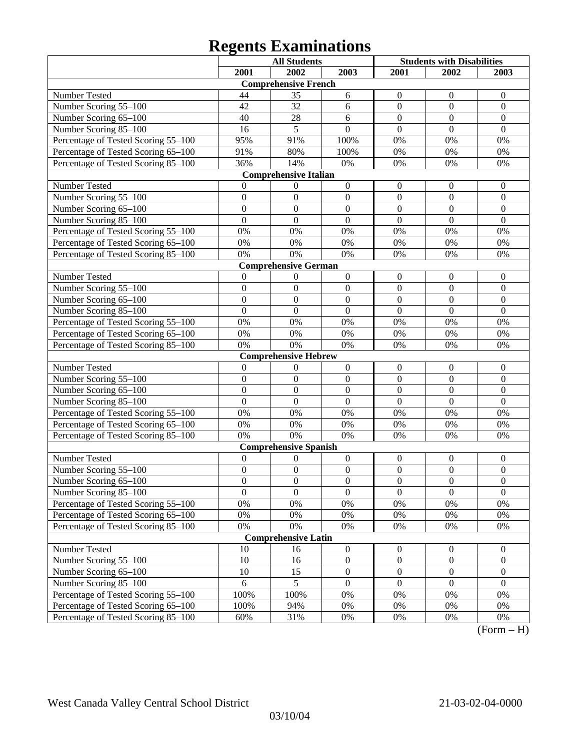|                                     |                  | <b>All Students</b>          |                  | <b>Students with Disabilities</b> |                  |                       |
|-------------------------------------|------------------|------------------------------|------------------|-----------------------------------|------------------|-----------------------|
|                                     | 2001             | 2002                         | 2003             | 2001                              | 2002             | 2003                  |
|                                     |                  | <b>Comprehensive French</b>  |                  |                                   |                  |                       |
| Number Tested                       | 44               | 35                           | 6                | $\mathbf{0}$                      | $\boldsymbol{0}$ | $\overline{0}$        |
| Number Scoring 55-100               | 42               | $\overline{32}$              | 6                | $\overline{0}$                    | $\boldsymbol{0}$ | $\boldsymbol{0}$      |
| Number Scoring 65-100               | 40               | 28                           | 6                | $\overline{0}$                    | $\overline{0}$   | $\overline{0}$        |
| Number Scoring 85-100               | 16               | 5                            | $\overline{0}$   | $\overline{0}$                    | $\overline{0}$   | $\overline{0}$        |
| Percentage of Tested Scoring 55-100 | 95%              | 91%                          | 100%             | 0%                                | 0%               | 0%                    |
| Percentage of Tested Scoring 65-100 | 91%              | 80%                          | 100%             | 0%                                | 0%               | 0%                    |
| Percentage of Tested Scoring 85-100 | 36%              | 14%                          | 0%               | 0%                                | 0%               | 0%                    |
|                                     |                  | <b>Comprehensive Italian</b> |                  |                                   |                  |                       |
| Number Tested                       | $\Omega$         | $\boldsymbol{0}$             | $\boldsymbol{0}$ | $\boldsymbol{0}$                  | $\boldsymbol{0}$ | $\boldsymbol{0}$      |
| Number Scoring 55-100               | $\overline{0}$   | $\mathbf{0}$                 | $\mathbf{0}$     | $\overline{0}$                    | $\boldsymbol{0}$ | $\boldsymbol{0}$      |
| Number Scoring 65-100               | $\overline{0}$   | $\mathbf{0}$                 | $\overline{0}$   | $\overline{0}$                    | $\mathbf{0}$     | $\boldsymbol{0}$      |
| Number Scoring 85-100               | $\overline{0}$   | $\mathbf{0}$                 | $\overline{0}$   | $\overline{0}$                    | $\mathbf{0}$     | $\mathbf{0}$          |
| Percentage of Tested Scoring 55-100 | $0\%$            | 0%                           | 0%               | 0%                                | 0%               | 0%                    |
| Percentage of Tested Scoring 65-100 | $0\%$            | 0%                           | 0%               | 0%                                | 0%               | 0%                    |
| Percentage of Tested Scoring 85-100 | 0%               | 0%                           | 0%               | 0%                                | 0%               | 0%                    |
|                                     |                  | <b>Comprehensive German</b>  |                  |                                   |                  |                       |
| Number Tested                       | $\theta$         | 0                            | $\boldsymbol{0}$ | $\boldsymbol{0}$                  | $\boldsymbol{0}$ | $\boldsymbol{0}$      |
| Number Scoring 55-100               | $\overline{0}$   | $\mathbf{0}$                 | $\mathbf{0}$     | $\boldsymbol{0}$                  | $\boldsymbol{0}$ | $\boldsymbol{0}$      |
| Number Scoring 65-100               | $\overline{0}$   | $\overline{0}$               | $\overline{0}$   | $\overline{0}$                    | $\mathbf{0}$     | $\overline{0}$        |
| Number Scoring 85-100               | $\overline{0}$   | $\overline{0}$               | $\overline{0}$   | $\overline{0}$                    | $\mathbf{0}$     | $\overline{0}$        |
| Percentage of Tested Scoring 55-100 | 0%               | 0%                           | 0%               | 0%                                | 0%               | 0%                    |
| Percentage of Tested Scoring 65-100 | $0\%$            | 0%                           | 0%               | 0%                                | 0%               | 0%                    |
| Percentage of Tested Scoring 85-100 | 0%               | 0%                           | 0%               | 0%                                | 0%               | 0%                    |
|                                     |                  | <b>Comprehensive Hebrew</b>  |                  |                                   |                  |                       |
| Number Tested                       | $\mathbf{0}$     | $\theta$                     | $\boldsymbol{0}$ | $\boldsymbol{0}$                  | $\boldsymbol{0}$ | $\boldsymbol{0}$      |
| Number Scoring 55-100               | $\overline{0}$   | $\mathbf{0}$                 | $\mathbf{0}$     | $\overline{0}$                    | $\mathbf{0}$     | $\boldsymbol{0}$      |
| Number Scoring 65-100               | $\overline{0}$   | $\mathbf{0}$                 | $\overline{0}$   | $\overline{0}$                    | $\mathbf{0}$     | $\boldsymbol{0}$      |
| Number Scoring 85-100               | $\overline{0}$   | $\boldsymbol{0}$             | $\mathbf{0}$     | $\overline{0}$                    | $\mathbf{0}$     | $\mathbf{0}$          |
| Percentage of Tested Scoring 55-100 | $0\%$            | 0%                           | 0%               | 0%                                | 0%               | 0%                    |
| Percentage of Tested Scoring 65-100 | $0\%$            | 0%                           | 0%               | 0%                                | 0%               | 0%                    |
| Percentage of Tested Scoring 85-100 | 0%               | 0%                           | 0%               | 0%                                | 0%               | 0%                    |
|                                     |                  | <b>Comprehensive Spanish</b> |                  |                                   |                  |                       |
| Number Tested                       | $\mathbf{0}$     | 0                            | $\boldsymbol{0}$ | $\boldsymbol{0}$                  | $\boldsymbol{0}$ | $\boldsymbol{0}$      |
| Number Scoring 55-100               | $\boldsymbol{0}$ | $\boldsymbol{0}$             | $\mathbf{0}$     | $\overline{0}$                    | $\mathbf{0}$     | $\overline{0}$        |
| Number Scoring 65–100               | $\boldsymbol{0}$ | $\overline{0}$               | $\boldsymbol{0}$ | $\theta$                          | $\theta$         | $\theta$              |
| Number Scoring 85-100               | $\overline{0}$   | $\overline{0}$               | $\overline{0}$   | $\overline{0}$                    | $\overline{0}$   | $\overline{0}$        |
| Percentage of Tested Scoring 55-100 | $0\%$            | 0%                           | 0%               | 0%                                | $0\%$            | 0%                    |
| Percentage of Tested Scoring 65-100 | 0%               | 0%                           | $0\%$            | $0\%$                             | $0\%$            | 0%                    |
| Percentage of Tested Scoring 85-100 | $0\%$            | $0\%$                        | 0%               | $0\%$                             | $0\%$            | 0%                    |
|                                     |                  | <b>Comprehensive Latin</b>   |                  |                                   |                  |                       |
| Number Tested                       | 10               | 16                           | $\boldsymbol{0}$ | $\boldsymbol{0}$                  | $\boldsymbol{0}$ | $\boldsymbol{0}$      |
| Number Scoring 55-100               | 10               | 16                           | $\boldsymbol{0}$ | $\boldsymbol{0}$                  | $\boldsymbol{0}$ | $\boldsymbol{0}$      |
| Number Scoring 65-100               | 10               | 15                           | $\boldsymbol{0}$ | $\boldsymbol{0}$                  | $\boldsymbol{0}$ | $\overline{0}$        |
| Number Scoring 85-100               | 6                | 5                            | $\mathbf{0}$     | $\boldsymbol{0}$                  | $\boldsymbol{0}$ | $\overline{0}$        |
| Percentage of Tested Scoring 55-100 | 100%             | 100%                         | 0%               | $0\%$                             | $0\%$            | 0%                    |
| Percentage of Tested Scoring 65-100 | 100%             | 94%                          | $0\%$            | $0\%$                             | 0%               | 0%                    |
| Percentage of Tested Scoring 85-100 | 60%              | 31%                          | $0\%$            | 0%                                | 0%               | $0\%$<br>$\mathbf{T}$ |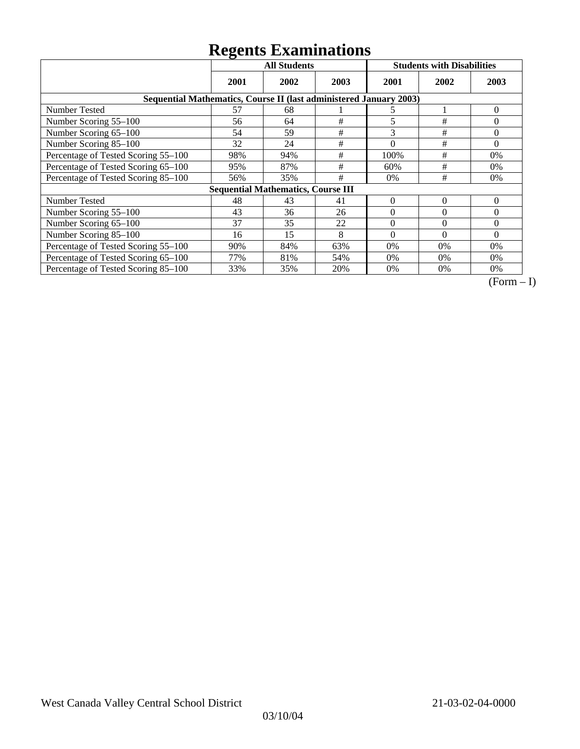|                                                                    | ັ<br><b>All Students</b> |                                           |      |                | <b>Students with Disabilities</b> |          |
|--------------------------------------------------------------------|--------------------------|-------------------------------------------|------|----------------|-----------------------------------|----------|
|                                                                    | 2001                     | 2002                                      | 2003 | 2001           | 2002                              | 2003     |
| Sequential Mathematics, Course II (last administered January 2003) |                          |                                           |      |                |                                   |          |
| Number Tested                                                      | 57                       | 68                                        |      | 5              |                                   | $\theta$ |
| Number Scoring 55-100                                              | 56                       | 64                                        | #    | 5              | #                                 | 0        |
| Number Scoring 65-100                                              | 54                       | 59                                        | #    | 3              | #                                 | $\theta$ |
| Number Scoring 85-100                                              | 32                       | 24                                        | #    | $\theta$       | #                                 | $\theta$ |
| Percentage of Tested Scoring 55-100                                | 98%                      | 94%                                       | #    | 100%           | #                                 | $0\%$    |
| Percentage of Tested Scoring 65-100                                | 95%                      | 87%                                       | #    | 60%            | #                                 | $0\%$    |
| Percentage of Tested Scoring 85-100                                | 56%                      | 35%                                       | #    | $0\%$          | #                                 | $0\%$    |
|                                                                    |                          | <b>Sequential Mathematics, Course III</b> |      |                |                                   |          |
| Number Tested                                                      | 48                       | 43                                        | 41   | $\overline{0}$ | $\overline{0}$                    | $\theta$ |
| Number Scoring 55-100                                              | 43                       | 36                                        | 26   | $\theta$       | $\theta$                          | $\theta$ |
| Number Scoring 65-100                                              | 37                       | 35                                        | 22   | $\Omega$       | $\Omega$                          | $\Omega$ |
| Number Scoring 85-100                                              | 16                       | 15                                        | 8    | $\Omega$       | $\Omega$                          | $\theta$ |
| Percentage of Tested Scoring 55-100                                | 90%                      | 84%                                       | 63%  | $0\%$          | 0%                                | $0\%$    |
| Percentage of Tested Scoring 65-100                                | 77%                      | 81%                                       | 54%  | $0\%$          | 0%                                | $0\%$    |
| Percentage of Tested Scoring 85-100                                | 33%                      | 35%                                       | 20%  | 0%             | 0%                                | 0%       |

 $\overline{(Form-I)}$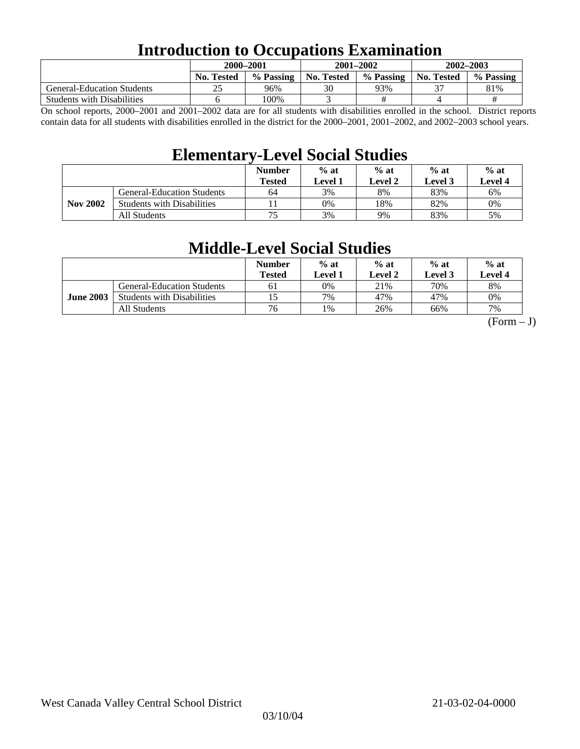### **Introduction to Occupations Examination**

|                                   | 2000-2001         |           | $2001 - 2002$     |           | $2002 - 2003$     |           |  |
|-----------------------------------|-------------------|-----------|-------------------|-----------|-------------------|-----------|--|
|                                   | <b>No. Tested</b> | % Passing | <b>No. Tested</b> | % Passing | <b>No. Tested</b> | % Passing |  |
| <b>General-Education Students</b> |                   | 96%       | 30                | 93%       |                   | 81%       |  |
| <b>Students with Disabilities</b> |                   | 100%      |                   |           |                   | #         |  |

On school reports, 2000–2001 and 2001–2002 data are for all students with disabilities enrolled in the school. District reports contain data for all students with disabilities enrolled in the district for the 2000–2001, 2001–2002, and 2002–2003 school years.

### **Elementary-Level Social Studies**

|                 |                                   | <b>Number</b><br><b>Tested</b> | $%$ at<br>$%$ at<br>Level 2<br>Level 1 |     | $%$ at<br>Level 3 | $%$ at<br>Level 4 |
|-----------------|-----------------------------------|--------------------------------|----------------------------------------|-----|-------------------|-------------------|
| <b>Nov 2002</b> | <b>General-Education Students</b> | 64                             | 3%                                     | 8%  | 83%               | 6%                |
|                 | <b>Students with Disabilities</b> |                                | 0%                                     | 18% | 82%               | 0%                |
|                 | All Students                      | 75                             | 3%                                     | 9%  | 83%               | 5%                |

### **Middle-Level Social Studies**

|                  |                                   | <b>Number</b><br><b>Tested</b> | $%$ at<br>Level 1 | $%$ at<br>Level 2 | $%$ at<br>Level 3 | $%$ at<br>Level 4 |
|------------------|-----------------------------------|--------------------------------|-------------------|-------------------|-------------------|-------------------|
| <b>June 2003</b> | <b>General-Education Students</b> | 61                             | 0%                | 21%               | 70%               | 8%                |
|                  | <b>Students with Disabilities</b> |                                | 7%                | 47%               | 47%               | 0%                |
|                  | All Students                      | 76                             | 1%                | 26%               | 66%               | 7%                |

 $(Form - J)$